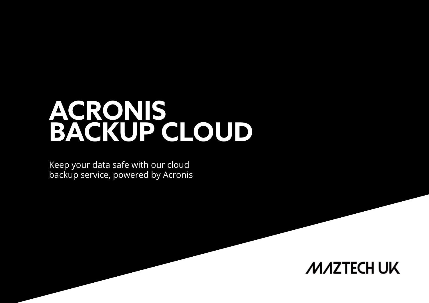# **ACRONIS BACKUP CLOUD**

Keep your data safe with our cloud backup service, powered by Acronis

### **MAZTECH UK**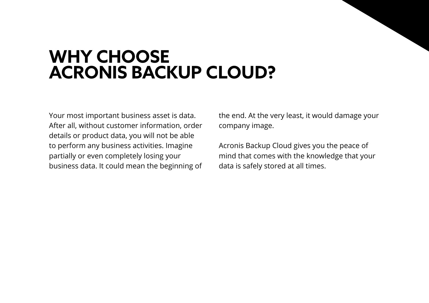# **WHY CHOOSE ACRONIS BACKUP CLOUD?**

Your most important business asset is data. After all, without customer information, order details or product data, you will not be able to perform any business activities. Imagine partially or even completely losing your business data. It could mean the beginning of the end. At the very least, it would damage your company image.

Acronis Backup Cloud gives you the peace of mind that comes with the knowledge that your data is safely stored at all times.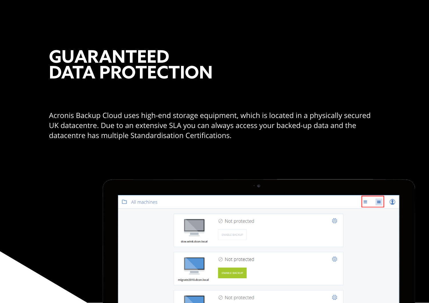# **GUARANTEED DATA PROTECTION**

Acronis Backup Cloud uses high-end storage equipment, which is located in a physically secured UK datacentre. Due to an extensive SLA you can always access your backed-up data and the datacentre has multiple Standardisation Certifications.

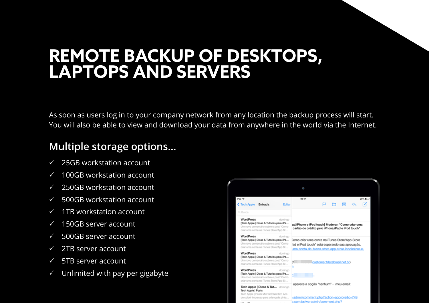### **REMOTE BACKUP OF DESKTOPS, LAPTOPS AND SERVERS**

As soon as users log in to your company network from any location the backup process will start. You will also be able to view and download your data from anywhere in the world via the Internet.

### **Multiple storage options…**

- 25GB workstation account
- 100GB workstation account
- 250GB workstation account
- 500GB workstation account
- 1TB workstation account
- 150GB server account
- $\checkmark$  500GB server account
- $\checkmark$  2TB server account
- $\sqrt{ }$  5TB server account.
- Unlimited with pay per gigabyte

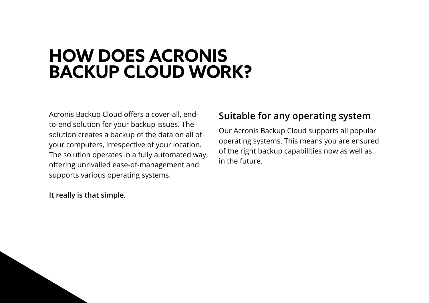## **HOW DOES ACRONIS BACKUP CLOUD WORK?**

Acronis Backup Cloud offers a cover-all, endto-end solution for your backup issues. The solution creates a backup of the data on all of your computers, irrespective of your location. The solution operates in a fully automated way, offering unrivalled ease-of-management and supports various operating systems.

**It really is that simple.**

#### **Suitable for any operating system**

Our Acronis Backup Cloud supports all popular operating systems. This means you are ensured of the right backup capabilities now as well as in the future.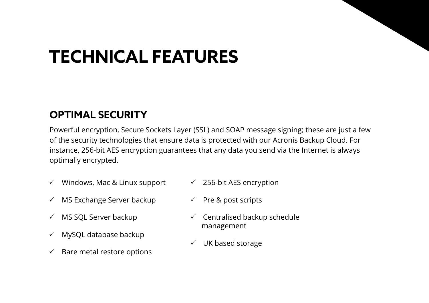# **TECHNICAL FEATURES**

### **OPTIMAL SECURITY**

Powerful encryption, Secure Sockets Layer (SSL) and SOAP message signing; these are just a few of the security technologies that ensure data is protected with our Acronis Backup Cloud. For instance, 256-bit AES encryption guarantees that any data you send via the Internet is always optimally encrypted.

- $\checkmark$  Windows, Mac & Linux support
- $\checkmark$  256-bit AES encryption
- $\checkmark$  MS Exchange Server backup
- $\checkmark$  Pre & post scripts

- $\checkmark$  MS SQL Server backup
- $\checkmark$  MySQL database backup
- $\checkmark$  Bare metal restore options
- $\checkmark$  Centralised backup schedule management
- $\checkmark$  UK based storage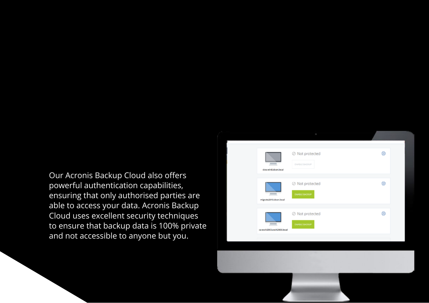Our Acronis Backup Cloud also offers powerful authentication capabilities, ensuring that only authorised parties are able to access your data. Acronis Backup Cloud uses excellent security techniques to ensure that backup data is 100% private and not accessible to anyone but you.



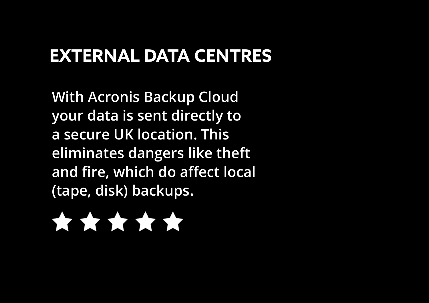# **EXTERNAL DATA CENTRES**

**With Acronis Backup Cloud your data is sent directly to a secure UK location. This eliminates dangers like theft and fire, which do affect local (tape, disk) backups.**

# \*\*\*\*\*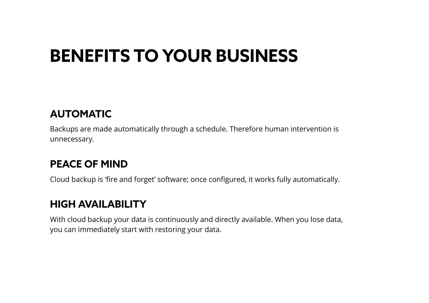# **BENEFITS TO YOUR BUSINESS**

### **AUTOMATIC**

Backups are made automatically through a schedule. Therefore human intervention is unnecessary.

### **PEACE OF MIND**

Cloud backup is 'fire and forget' software; once configured, it works fully automatically.

#### **HIGH AVAILABILITY**

With cloud backup your data is continuously and directly available. When you lose data, you can immediately start with restoring your data.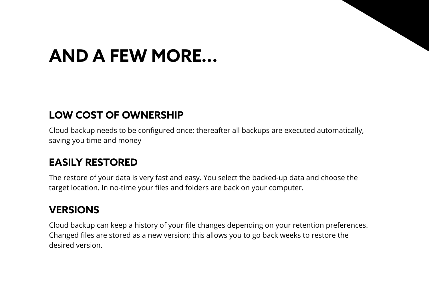# **AND A FEW MORE...**

#### **LOW COST OF OWNERSHIP**

Cloud backup needs to be configured once; thereafter all backups are executed automatically, saving you time and money

### **EASILY RESTORED**

The restore of your data is very fast and easy. You select the backed-up data and choose the target location. In no-time your files and folders are back on your computer.

#### **VERSIONS**

Cloud backup can keep a history of your file changes depending on your retention preferences. Changed files are stored as a new version; this allows you to go back weeks to restore the desired version.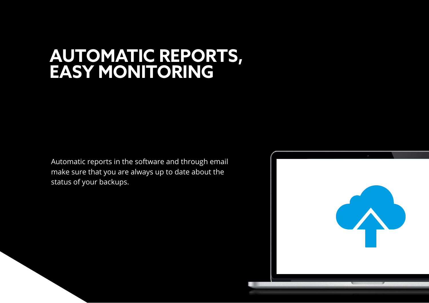### **AUTOMATIC REPORTS, EASY MONITORING**

Automatic reports in the software and through email make sure that you are always up to date about the status of your backups.